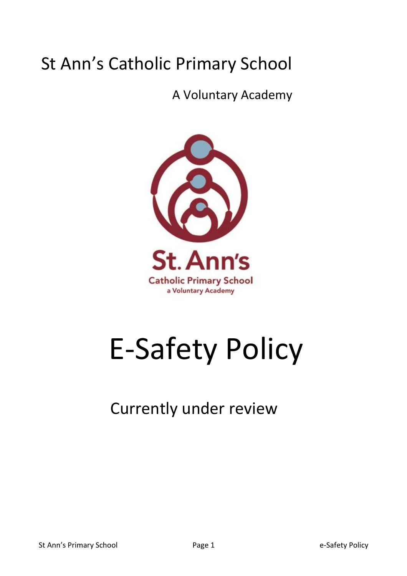# St Ann's Catholic Primary School

A Voluntary Academy



# E-Safety Policy

## Currently under review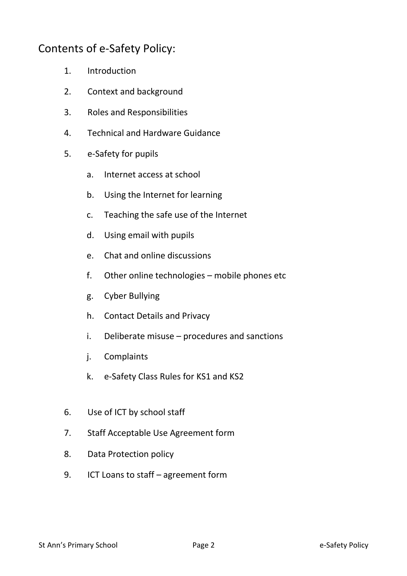## Contents of e-Safety Policy:

- 1. Introduction
- 2. Context and background
- 3. Roles and Responsibilities
- 4. Technical and Hardware Guidance
- 5. e-Safety for pupils
	- a. Internet access at school
	- b. Using the Internet for learning
	- c. Teaching the safe use of the Internet
	- d. Using email with pupils
	- e. Chat and online discussions
	- f. Other online technologies mobile phones etc
	- g. Cyber Bullying
	- h. Contact Details and Privacy
	- i. Deliberate misuse procedures and sanctions
	- j. Complaints
	- k. e-Safety Class Rules for KS1 and KS2
- 6. Use of ICT by school staff
- 7. Staff Acceptable Use Agreement form
- 8. Data Protection policy
- 9. ICT Loans to staff agreement form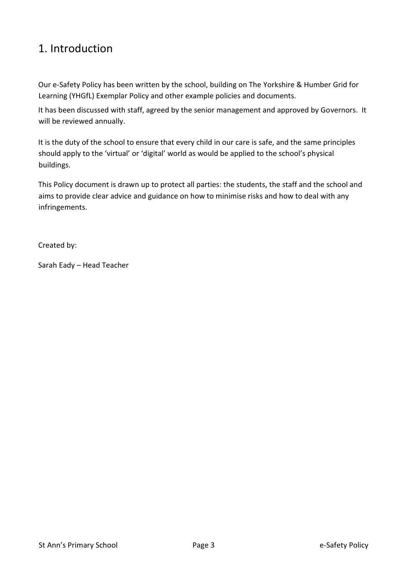## 1. Introduction

Our e-Safety Policy has been written by the school, building on The Yorkshire & Humber Grid for Learning (YHGfL) Exemplar Policy and other example policies and documents.

It has been discussed with staff, agreed by the senior management and approved by Governors. It will be reviewed annually.

It is the duty of the school to ensure that every child in our care is safe, and the same principles should apply to the 'virtual' or 'digital' world as would be applied to the school's physical buildings.

This Policy document is drawn up to protect all parties: the students, the staff and the school and aims to provide clear advice and guidance on how to minimise risks and how to deal with any infringements.

Created by:

Sarah Eady – Head Teacher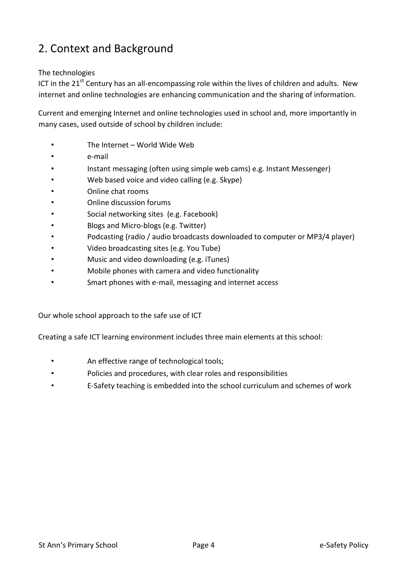## 2. Context and Background

#### The technologies

ICT in the  $21<sup>st</sup>$  Century has an all-encompassing role within the lives of children and adults. New internet and online technologies are enhancing communication and the sharing of information.

Current and emerging Internet and online technologies used in school and, more importantly in many cases, used outside of school by children include:

- The Internet World Wide Web
- e-mail
- Instant messaging (often using simple web cams) e.g. Instant Messenger)
- Web based voice and video calling (e.g. Skype)
- Online chat rooms
- Online discussion forums
- Social networking sites (e.g. Facebook)
- Blogs and Micro-blogs (e.g. Twitter)
- Podcasting (radio / audio broadcasts downloaded to computer or MP3/4 player)
- Video broadcasting sites (e.g. You Tube)
- Music and video downloading (e.g. iTunes)
- Mobile phones with camera and video functionality
- Smart phones with e-mail, messaging and internet access

Our whole school approach to the safe use of ICT

Creating a safe ICT learning environment includes three main elements at this school:

- An effective range of technological tools;
- Policies and procedures, with clear roles and responsibilities
- E-Safety teaching is embedded into the school curriculum and schemes of work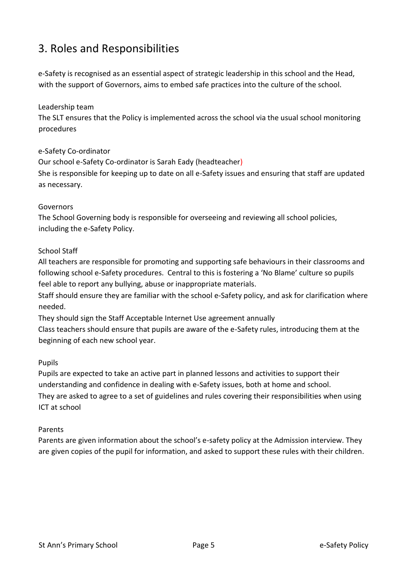## 3. Roles and Responsibilities

e-Safety is recognised as an essential aspect of strategic leadership in this school and the Head, with the support of Governors, aims to embed safe practices into the culture of the school.

## Leadership team

The SLT ensures that the Policy is implemented across the school via the usual school monitoring procedures

## e-Safety Co-ordinator

Our school e-Safety Co-ordinator is Sarah Eady (headteacher) She is responsible for keeping up to date on all e-Safety issues and ensuring that staff are updated as necessary.

#### Governors

The School Governing body is responsible for overseeing and reviewing all school policies, including the e-Safety Policy.

## School Staff

All teachers are responsible for promoting and supporting safe behaviours in their classrooms and following school e-Safety procedures. Central to this is fostering a 'No Blame' culture so pupils feel able to report any bullying, abuse or inappropriate materials.

Staff should ensure they are familiar with the school e-Safety policy, and ask for clarification where needed.

They should sign the Staff Acceptable Internet Use agreement annually Class teachers should ensure that pupils are aware of the e-Safety rules, introducing them at the beginning of each new school year.

## Pupils

Pupils are expected to take an active part in planned lessons and activities to support their understanding and confidence in dealing with e-Safety issues, both at home and school. They are asked to agree to a set of guidelines and rules covering their responsibilities when using ICT at school

#### Parents

Parents are given information about the school's e-safety policy at the Admission interview. They are given copies of the pupil for information, and asked to support these rules with their children.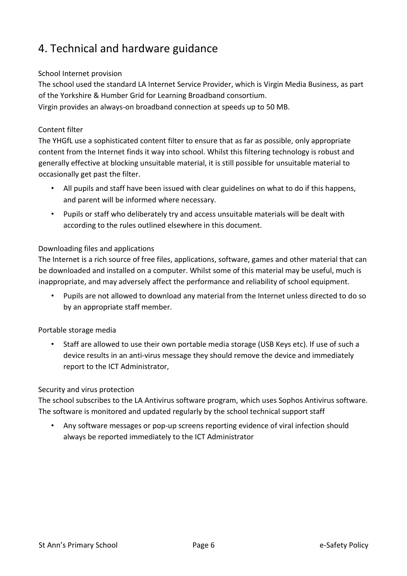## 4. Technical and hardware guidance

## School Internet provision

The school used the standard LA Internet Service Provider, which is Virgin Media Business, as part of the Yorkshire & Humber Grid for Learning Broadband consortium.

Virgin provides an always-on broadband connection at speeds up to 50 MB.

## Content filter

The YHGfL use a sophisticated content filter to ensure that as far as possible, only appropriate content from the Internet finds it way into school. Whilst this filtering technology is robust and generally effective at blocking unsuitable material, it is still possible for unsuitable material to occasionally get past the filter.

- All pupils and staff have been issued with clear guidelines on what to do if this happens, and parent will be informed where necessary.
- Pupils or staff who deliberately try and access unsuitable materials will be dealt with according to the rules outlined elsewhere in this document.

## Downloading files and applications

The Internet is a rich source of free files, applications, software, games and other material that can be downloaded and installed on a computer. Whilst some of this material may be useful, much is inappropriate, and may adversely affect the performance and reliability of school equipment.

• Pupils are not allowed to download any material from the Internet unless directed to do so by an appropriate staff member.

## Portable storage media

• Staff are allowed to use their own portable media storage (USB Keys etc). If use of such a device results in an anti-virus message they should remove the device and immediately report to the ICT Administrator,

## Security and virus protection

The school subscribes to the LA Antivirus software program, which uses Sophos Antivirus software. The software is monitored and updated regularly by the school technical support staff

• Any software messages or pop-up screens reporting evidence of viral infection should always be reported immediately to the ICT Administrator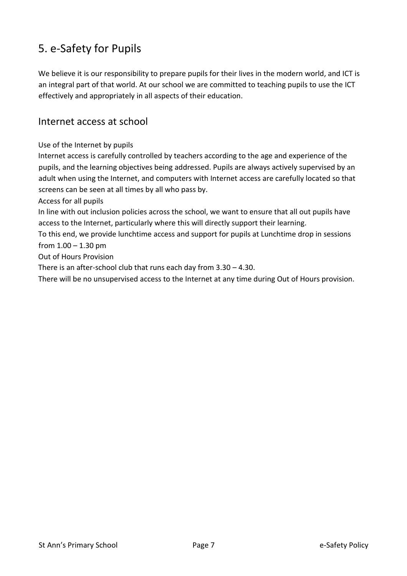## 5. e-Safety for Pupils

We believe it is our responsibility to prepare pupils for their lives in the modern world, and ICT is an integral part of that world. At our school we are committed to teaching pupils to use the ICT effectively and appropriately in all aspects of their education.

## Internet access at school

## Use of the Internet by pupils

Internet access is carefully controlled by teachers according to the age and experience of the pupils, and the learning objectives being addressed. Pupils are always actively supervised by an adult when using the Internet, and computers with Internet access are carefully located so that screens can be seen at all times by all who pass by.

Access for all pupils

In line with out inclusion policies across the school, we want to ensure that all out pupils have access to the Internet, particularly where this will directly support their learning.

To this end, we provide lunchtime access and support for pupils at Lunchtime drop in sessions from  $1.00 - 1.30$  pm

Out of Hours Provision

There is an after-school club that runs each day from 3.30 – 4.30.

There will be no unsupervised access to the Internet at any time during Out of Hours provision.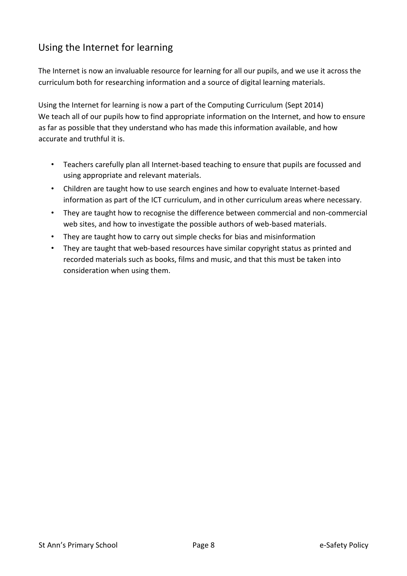## Using the Internet for learning

The Internet is now an invaluable resource for learning for all our pupils, and we use it across the curriculum both for researching information and a source of digital learning materials.

Using the Internet for learning is now a part of the Computing Curriculum (Sept 2014) We teach all of our pupils how to find appropriate information on the Internet, and how to ensure as far as possible that they understand who has made this information available, and how accurate and truthful it is.

- Teachers carefully plan all Internet-based teaching to ensure that pupils are focussed and using appropriate and relevant materials.
- Children are taught how to use search engines and how to evaluate Internet-based information as part of the ICT curriculum, and in other curriculum areas where necessary.
- They are taught how to recognise the difference between commercial and non-commercial web sites, and how to investigate the possible authors of web-based materials.
- They are taught how to carry out simple checks for bias and misinformation
- They are taught that web-based resources have similar copyright status as printed and recorded materials such as books, films and music, and that this must be taken into consideration when using them.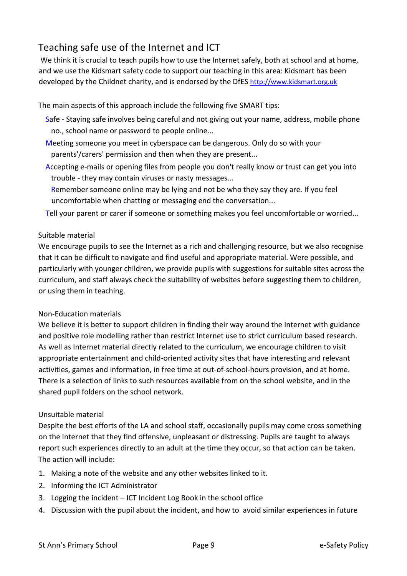## Teaching safe use of the Internet and ICT

We think it is crucial to teach pupils how to use the Internet safely, both at school and at home, and we use the Kidsmart safety code to support our teaching in this area: Kidsmart has been developed by the Childnet charity, and is endorsed by the DfES http://www.kidsmart.org.uk

The main aspects of this approach include the following five SMART tips:

- Safe Staying safe involves being careful and not giving out your name, address, mobile phone no., school name or password to people online...
- Meeting someone you meet in cyberspace can be dangerous. Only do so with your parents'/carers' permission and then when they are present...
- Accepting e-mails or opening files from people you don't really know or trust can get you into trouble - they may contain viruses or nasty messages...
- Remember someone online may be lying and not be who they say they are. If you feel uncomfortable when chatting or messaging end the conversation...
- Tell your parent or carer if someone or something makes you feel uncomfortable or worried...

## Suitable material

We encourage pupils to see the Internet as a rich and challenging resource, but we also recognise that it can be difficult to navigate and find useful and appropriate material. Were possible, and particularly with younger children, we provide pupils with suggestions for suitable sites across the curriculum, and staff always check the suitability of websites before suggesting them to children, or using them in teaching.

## Non-Education materials

We believe it is better to support children in finding their way around the Internet with guidance and positive role modelling rather than restrict Internet use to strict curriculum based research. As well as Internet material directly related to the curriculum, we encourage children to visit appropriate entertainment and child-oriented activity sites that have interesting and relevant activities, games and information, in free time at out-of-school-hours provision, and at home. There is a selection of links to such resources available from on the school website, and in the shared pupil folders on the school network.

## Unsuitable material

Despite the best efforts of the LA and school staff, occasionally pupils may come cross something on the Internet that they find offensive, unpleasant or distressing. Pupils are taught to always report such experiences directly to an adult at the time they occur, so that action can be taken. The action will include:

- 1. Making a note of the website and any other websites linked to it.
- 2. Informing the ICT Administrator
- 3. Logging the incident ICT Incident Log Book in the school office
- 4. Discussion with the pupil about the incident, and how to avoid similar experiences in future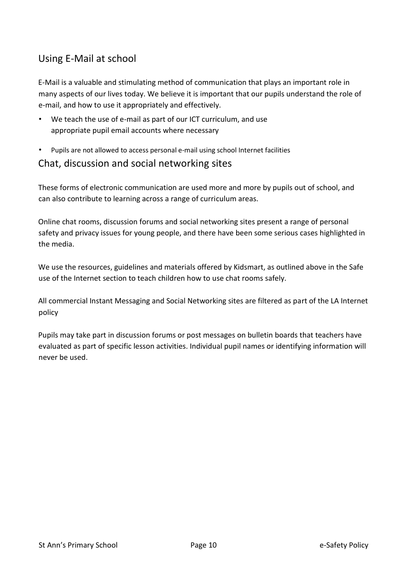## Using E-Mail at school

E-Mail is a valuable and stimulating method of communication that plays an important role in many aspects of our lives today. We believe it is important that our pupils understand the role of e-mail, and how to use it appropriately and effectively.

- We teach the use of e-mail as part of our ICT curriculum, and use appropriate pupil email accounts where necessary
- Pupils are not allowed to access personal e-mail using school Internet facilities

## Chat, discussion and social networking sites

These forms of electronic communication are used more and more by pupils out of school, and can also contribute to learning across a range of curriculum areas.

Online chat rooms, discussion forums and social networking sites present a range of personal safety and privacy issues for young people, and there have been some serious cases highlighted in the media.

We use the resources, guidelines and materials offered by Kidsmart, as outlined above in the Safe use of the Internet section to teach children how to use chat rooms safely.

All commercial Instant Messaging and Social Networking sites are filtered as part of the LA Internet policy

Pupils may take part in discussion forums or post messages on bulletin boards that teachers have evaluated as part of specific lesson activities. Individual pupil names or identifying information will never be used.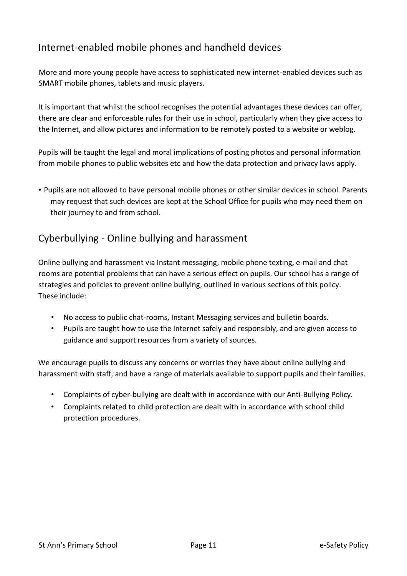## Internet-enabled mobile phones and handheld devices

More and more young people have access to sophisticated new internet-enabled devices such as SMART mobile phones, tablets and music players.

It is important that whilst the school recognises the potential advantages these devices can offer, there are clear and enforceable rules for their use in school, particularly when they give access to the Internet, and allow pictures and information to be remotely posted to a website or weblog.

Pupils will be taught the legal and moral implications of posting photos and personal information from mobile phones to public websites etc and how the data protection and privacy laws apply.

• Pupils are not allowed to have personal mobile phones or other similar devices in school. Parents may request that such devices are kept at the School Office for pupils who may need them on their journey to and from school.

## Cyberbullying - Online bullying and harassment

Online bullying and harassment via Instant messaging, mobile phone texting, e-mail and chat rooms are potential problems that can have a serious effect on pupils. Our school has a range of strategies and policies to prevent online bullying, outlined in various sections of this policy. These include:

- No access to public chat-rooms, Instant Messaging services and bulletin boards.
- Pupils are taught how to use the Internet safely and responsibly, and are given access to guidance and support resources from a variety of sources.

We encourage pupils to discuss any concerns or worries they have about online bullying and harassment with staff, and have a range of materials available to support pupils and their families.

- Complaints of cyber-bullying are dealt with in accordance with our Anti-Bullying Policy.
- Complaints related to child protection are dealt with in accordance with school child protection procedures.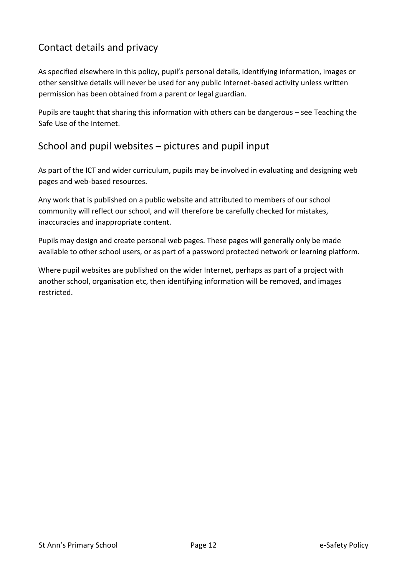## Contact details and privacy

As specified elsewhere in this policy, pupil's personal details, identifying information, images or other sensitive details will never be used for any public Internet-based activity unless written permission has been obtained from a parent or legal guardian.

Pupils are taught that sharing this information with others can be dangerous – see Teaching the Safe Use of the Internet.

## School and pupil websites – pictures and pupil input

As part of the ICT and wider curriculum, pupils may be involved in evaluating and designing web pages and web-based resources.

Any work that is published on a public website and attributed to members of our school community will reflect our school, and will therefore be carefully checked for mistakes, inaccuracies and inappropriate content.

Pupils may design and create personal web pages. These pages will generally only be made available to other school users, or as part of a password protected network or learning platform.

Where pupil websites are published on the wider Internet, perhaps as part of a project with another school, organisation etc, then identifying information will be removed, and images restricted.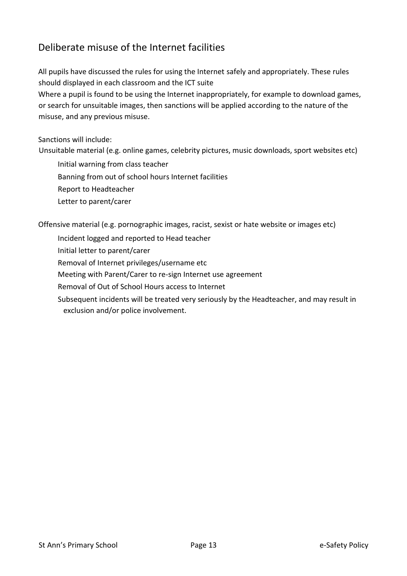## Deliberate misuse of the Internet facilities

All pupils have discussed the rules for using the Internet safely and appropriately. These rules should displayed in each classroom and the ICT suite

Where a pupil is found to be using the Internet inappropriately, for example to download games, or search for unsuitable images, then sanctions will be applied according to the nature of the misuse, and any previous misuse.

Sanctions will include:

Unsuitable material (e.g. online games, celebrity pictures, music downloads, sport websites etc)

Initial warning from class teacher

Banning from out of school hours Internet facilities

Report to Headteacher

Letter to parent/carer

Offensive material (e.g. pornographic images, racist, sexist or hate website or images etc)

Incident logged and reported to Head teacher

Initial letter to parent/carer

Removal of Internet privileges/username etc

Meeting with Parent/Carer to re-sign Internet use agreement

Removal of Out of School Hours access to Internet

Subsequent incidents will be treated very seriously by the Headteacher, and may result in exclusion and/or police involvement.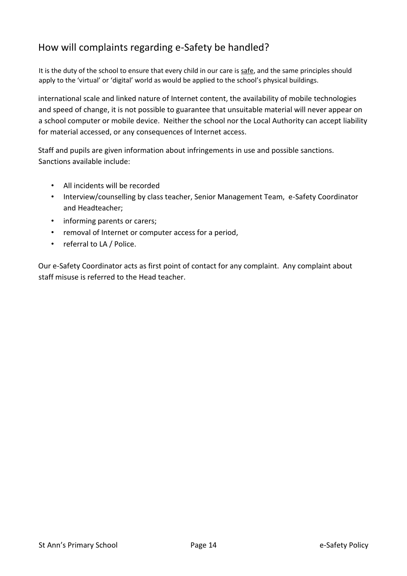## How will complaints regarding e-Safety be handled?

It is the duty of the school to ensure that every child in our care is safe, and the same principles should apply to the 'virtual' or 'digital' world as would be applied to the school's physical buildings.

international scale and linked nature of Internet content, the availability of mobile technologies and speed of change, it is not possible to guarantee that unsuitable material will never appear on a school computer or mobile device. Neither the school nor the Local Authority can accept liability for material accessed, or any consequences of Internet access.

Staff and pupils are given information about infringements in use and possible sanctions. Sanctions available include:

- All incidents will be recorded
- Interview/counselling by class teacher, Senior Management Team, e-Safety Coordinator and Headteacher;
- informing parents or carers;
- removal of Internet or computer access for a period,
- referral to LA / Police.

Our e-Safety Coordinator acts as first point of contact for any complaint. Any complaint about staff misuse is referred to the Head teacher.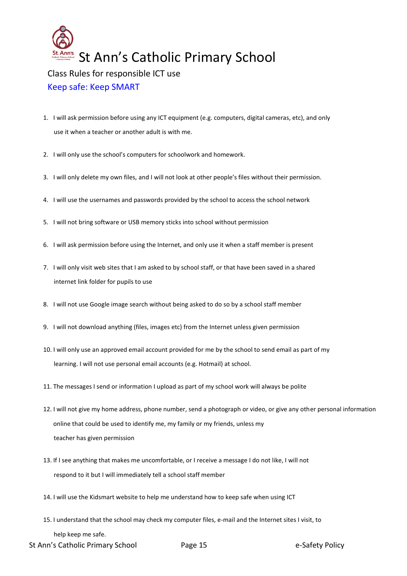

#### Keep safe: Keep SMART

- 1. I will ask permission before using any ICT equipment (e.g. computers, digital cameras, etc), and only use it when a teacher or another adult is with me.
- 2. I will only use the school's computers for schoolwork and homework.
- 3. I will only delete my own files, and I will not look at other people's files without their permission.
- 4. I will use the usernames and passwords provided by the school to access the school network
- 5. I will not bring software or USB memory sticks into school without permission
- 6. I will ask permission before using the Internet, and only use it when a staff member is present
- 7. I will only visit web sites that I am asked to by school staff, or that have been saved in a shared internet link folder for pupils to use
- 8. I will not use Google image search without being asked to do so by a school staff member
- 9. I will not download anything (files, images etc) from the Internet unless given permission
- 10. I will only use an approved email account provided for me by the school to send email as part of my learning. I will not use personal email accounts (e.g. Hotmail) at school.
- 11. The messages I send or information I upload as part of my school work will always be polite
- 12. I will not give my home address, phone number, send a photograph or video, or give any other personal information online that could be used to identify me, my family or my friends, unless my teacher has given permission
- 13. If I see anything that makes me uncomfortable, or I receive a message I do not like, I will not respond to it but I will immediately tell a school staff member
- 14. I will use the Kidsmart website to help me understand how to keep safe when using ICT
- 15. I understand that the school may check my computer files, e-mail and the Internet sites I visit, to help keep me safe.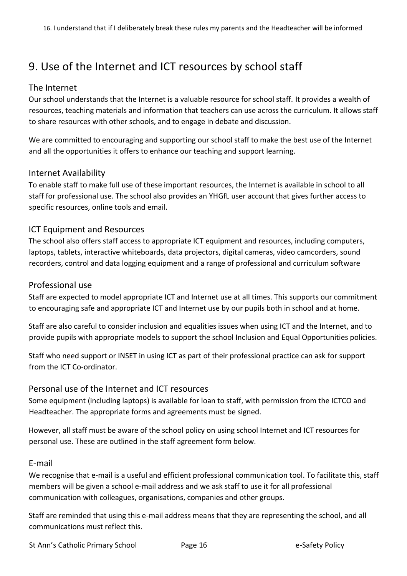## 9. Use of the Internet and ICT resources by school staff

## The Internet

Our school understands that the Internet is a valuable resource for school staff. It provides a wealth of resources, teaching materials and information that teachers can use across the curriculum. It allows staff to share resources with other schools, and to engage in debate and discussion.

We are committed to encouraging and supporting our school staff to make the best use of the Internet and all the opportunities it offers to enhance our teaching and support learning.

## Internet Availability

To enable staff to make full use of these important resources, the Internet is available in school to all staff for professional use. The school also provides an YHGfL user account that gives further access to specific resources, online tools and email.

## ICT Equipment and Resources

The school also offers staff access to appropriate ICT equipment and resources, including computers, laptops, tablets, interactive whiteboards, data projectors, digital cameras, video camcorders, sound recorders, control and data logging equipment and a range of professional and curriculum software

#### Professional use

Staff are expected to model appropriate ICT and Internet use at all times. This supports our commitment to encouraging safe and appropriate ICT and Internet use by our pupils both in school and at home.

Staff are also careful to consider inclusion and equalities issues when using ICT and the Internet, and to provide pupils with appropriate models to support the school Inclusion and Equal Opportunities policies.

Staff who need support or INSET in using ICT as part of their professional practice can ask for support from the ICT Co-ordinator.

#### Personal use of the Internet and ICT resources

Some equipment (including laptops) is available for loan to staff, with permission from the ICTCO and Headteacher. The appropriate forms and agreements must be signed.

However, all staff must be aware of the school policy on using school Internet and ICT resources for personal use. These are outlined in the staff agreement form below.

#### E-mail

We recognise that e-mail is a useful and efficient professional communication tool. To facilitate this, staff members will be given a school e-mail address and we ask staff to use it for all professional communication with colleagues, organisations, companies and other groups.

Staff are reminded that using this e-mail address means that they are representing the school, and all communications must reflect this.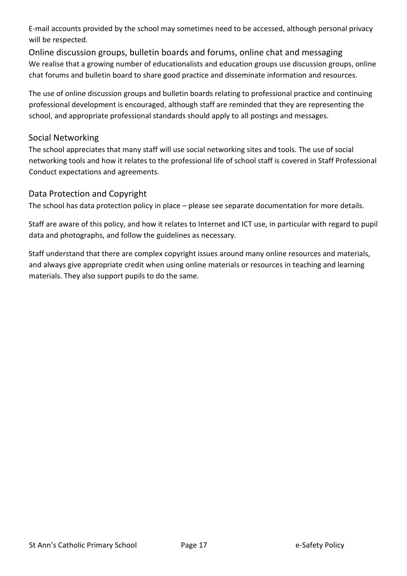E-mail accounts provided by the school may sometimes need to be accessed, although personal privacy will be respected.

Online discussion groups, bulletin boards and forums, online chat and messaging We realise that a growing number of educationalists and education groups use discussion groups, online chat forums and bulletin board to share good practice and disseminate information and resources.

The use of online discussion groups and bulletin boards relating to professional practice and continuing professional development is encouraged, although staff are reminded that they are representing the school, and appropriate professional standards should apply to all postings and messages.

## Social Networking

The school appreciates that many staff will use social networking sites and tools. The use of social networking tools and how it relates to the professional life of school staff is covered in Staff Professional Conduct expectations and agreements.

## Data Protection and Copyright

The school has data protection policy in place – please see separate documentation for more details.

Staff are aware of this policy, and how it relates to Internet and ICT use, in particular with regard to pupil data and photographs, and follow the guidelines as necessary.

Staff understand that there are complex copyright issues around many online resources and materials, and always give appropriate credit when using online materials or resources in teaching and learning materials. They also support pupils to do the same.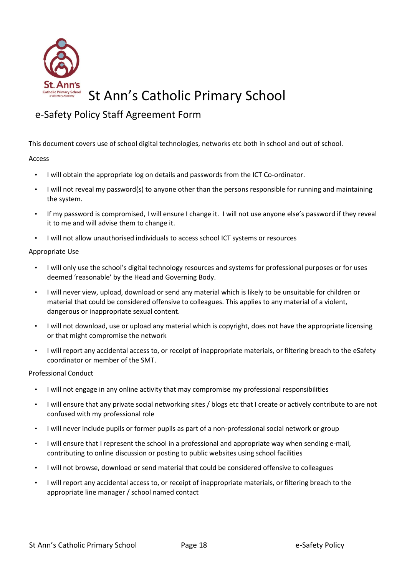

## e-Safety Policy Staff Agreement Form

This document covers use of school digital technologies, networks etc both in school and out of school.

#### Access

- I will obtain the appropriate log on details and passwords from the ICT Co-ordinator.
- I will not reveal my password(s) to anyone other than the persons responsible for running and maintaining the system.
- If my password is compromised, I will ensure I change it. I will not use anyone else's password if they reveal it to me and will advise them to change it.
- I will not allow unauthorised individuals to access school ICT systems or resources

#### Appropriate Use

- I will only use the school's digital technology resources and systems for professional purposes or for uses deemed 'reasonable' by the Head and Governing Body.
- I will never view, upload, download or send any material which is likely to be unsuitable for children or material that could be considered offensive to colleagues. This applies to any material of a violent, dangerous or inappropriate sexual content.
- I will not download, use or upload any material which is copyright, does not have the appropriate licensing or that might compromise the network
- I will report any accidental access to, or receipt of inappropriate materials, or filtering breach to the eSafety coordinator or member of the SMT.

#### Professional Conduct

- I will not engage in any online activity that may compromise my professional responsibilities
- I will ensure that any private social networking sites / blogs etc that I create or actively contribute to are not confused with my professional role
- I will never include pupils or former pupils as part of a non-professional social network or group
- I will ensure that I represent the school in a professional and appropriate way when sending e-mail, contributing to online discussion or posting to public websites using school facilities
- I will not browse, download or send material that could be considered offensive to colleagues
- I will report any accidental access to, or receipt of inappropriate materials, or filtering breach to the appropriate line manager / school named contact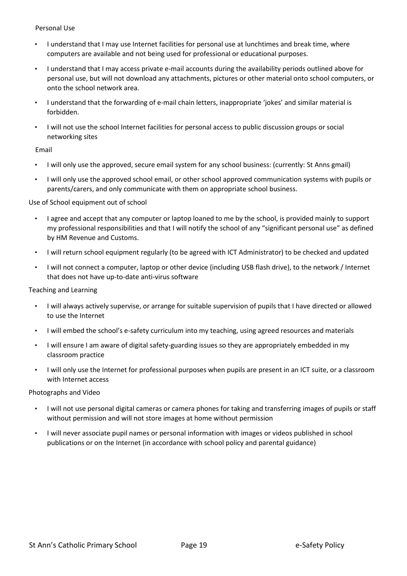#### Personal Use

- I understand that I may use Internet facilities for personal use at lunchtimes and break time, where computers are available and not being used for professional or educational purposes.
- I understand that I may access private e-mail accounts during the availability periods outlined above for personal use, but will not download any attachments, pictures or other material onto school computers, or onto the school network area.
- I understand that the forwarding of e-mail chain letters, inappropriate 'jokes' and similar material is forbidden.
- I will not use the school Internet facilities for personal access to public discussion groups or social networking sites

#### Email

- I will only use the approved, secure email system for any school business: (currently: St Anns gmail)
- I will only use the approved school email, or other school approved communication systems with pupils or parents/carers, and only communicate with them on appropriate school business.

#### Use of School equipment out of school

- I agree and accept that any computer or laptop loaned to me by the school, is provided mainly to support my professional responsibilities and that I will notify the school of any "significant personal use" as defined by HM Revenue and Customs.
- I will return school equipment regularly (to be agreed with ICT Administrator) to be checked and updated
- I will not connect a computer, laptop or other device (including USB flash drive), to the network / Internet that does not have up-to-date anti-virus software

#### Teaching and Learning

- I will always actively supervise, or arrange for suitable supervision of pupils that I have directed or allowed to use the Internet
- I will embed the school's e-safety curriculum into my teaching, using agreed resources and materials
- I will ensure I am aware of digital safety-guarding issues so they are appropriately embedded in my classroom practice
- I will only use the Internet for professional purposes when pupils are present in an ICT suite, or a classroom with Internet access

#### Photographs and Video

- I will not use personal digital cameras or camera phones for taking and transferring images of pupils or staff without permission and will not store images at home without permission
- I will never associate pupil names or personal information with images or videos published in school publications or on the Internet (in accordance with school policy and parental guidance)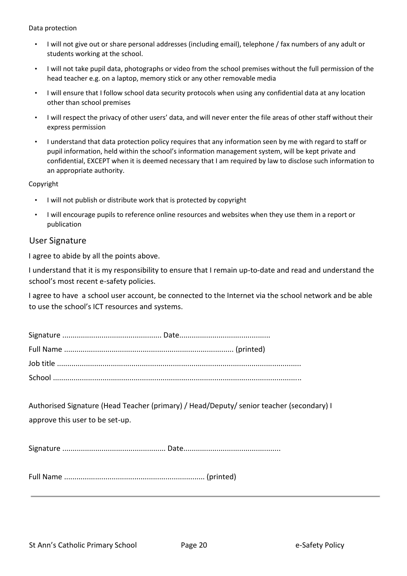Data protection

- I will not give out or share personal addresses (including email), telephone / fax numbers of any adult or students working at the school.
- I will not take pupil data, photographs or video from the school premises without the full permission of the head teacher e.g. on a laptop, memory stick or any other removable media
- I will ensure that I follow school data security protocols when using any confidential data at any location other than school premises
- I will respect the privacy of other users' data, and will never enter the file areas of other staff without their express permission
- I understand that data protection policy requires that any information seen by me with regard to staff or pupil information, held within the school's information management system, will be kept private and confidential, EXCEPT when it is deemed necessary that I am required by law to disclose such information to an appropriate authority.

Copyright

- I will not publish or distribute work that is protected by copyright
- I will encourage pupils to reference online resources and websites when they use them in a report or publication

#### User Signature

I agree to abide by all the points above.

I understand that it is my responsibility to ensure that I remain up-to-date and read and understand the school's most recent e-safety policies.

I agree to have a school user account, be connected to the Internet via the school network and be able to use the school's ICT resources and systems.

Authorised Signature (Head Teacher (primary) / Head/Deputy/ senior teacher (secondary) I approve this user to be set-up.

Signature .................................................. Date...............................................

Full Name .................................................................... (printed)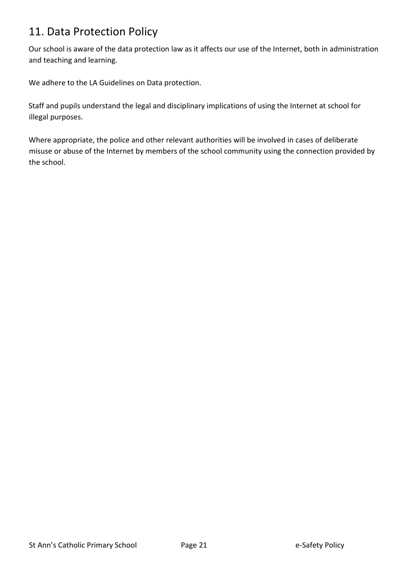## 11. Data Protection Policy

Our school is aware of the data protection law as it affects our use of the Internet, both in administration and teaching and learning.

We adhere to the LA Guidelines on Data protection.

Staff and pupils understand the legal and disciplinary implications of using the Internet at school for illegal purposes.

Where appropriate, the police and other relevant authorities will be involved in cases of deliberate misuse or abuse of the Internet by members of the school community using the connection provided by the school.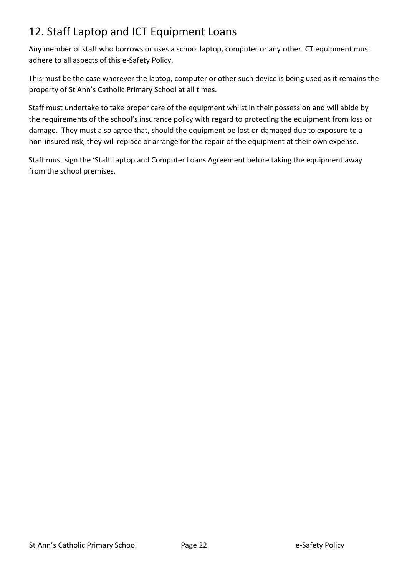## 12. Staff Laptop and ICT Equipment Loans

Any member of staff who borrows or uses a school laptop, computer or any other ICT equipment must adhere to all aspects of this e-Safety Policy.

This must be the case wherever the laptop, computer or other such device is being used as it remains the property of St Ann's Catholic Primary School at all times.

Staff must undertake to take proper care of the equipment whilst in their possession and will abide by the requirements of the school's insurance policy with regard to protecting the equipment from loss or damage. They must also agree that, should the equipment be lost or damaged due to exposure to a non-insured risk, they will replace or arrange for the repair of the equipment at their own expense.

Staff must sign the 'Staff Laptop and Computer Loans Agreement before taking the equipment away from the school premises.